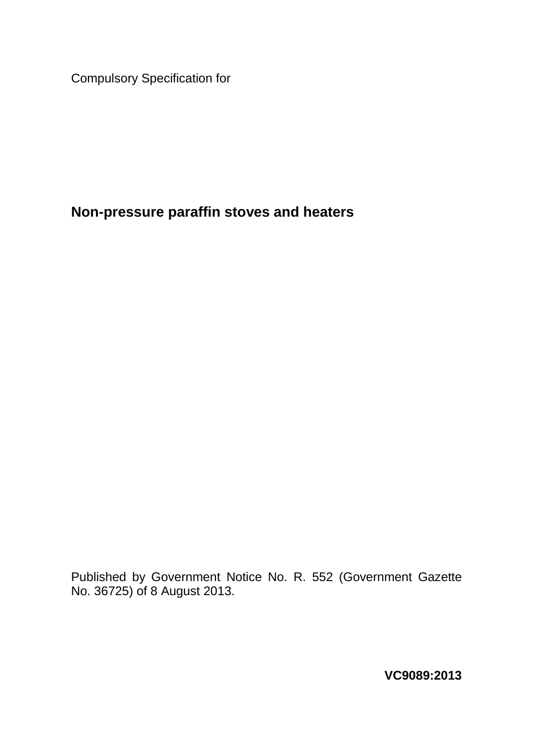Compulsory Specification for

# **Non-pressure paraffin stoves and heaters**

Published by Government Notice No. R. 552 (Government Gazette No. 36725) of 8 August 2013.

**VC9089:2013**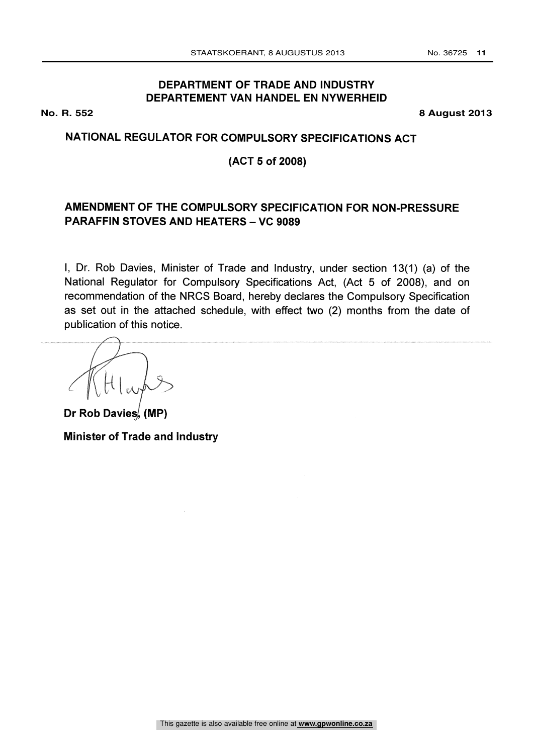# **DEPARTMENT OF TRADE AND INDUSTRY DEPARTEMENT VAN HANDEL EN NYWERHEID**

**No. R. 552 8 August 2013**

# NATIONAL REGULATOR FOR COMPULSORY SPECIFICATIONS ACT

# (ACT 5 of 2008)

# AMENDMENT OF THE COMPULSORY SPECIFICATION FOR NON-PRESSURE PARAFFIN STOVES AND HEATERS - VC 9089

I, Dr. Rob Davies, Minister of Trade and Industry, under section 13(1) (a) of the National Regulator for Compulsory Specifications Act, (Act 5 of 2008), and on recommendation of the NRCS Board, hereby declares the Compulsory Specification as set out in the attached schedule, with effect two (2) months from the date of publication of this notice.

Dr Rob Davies, (MP) Minister of Trade and Industry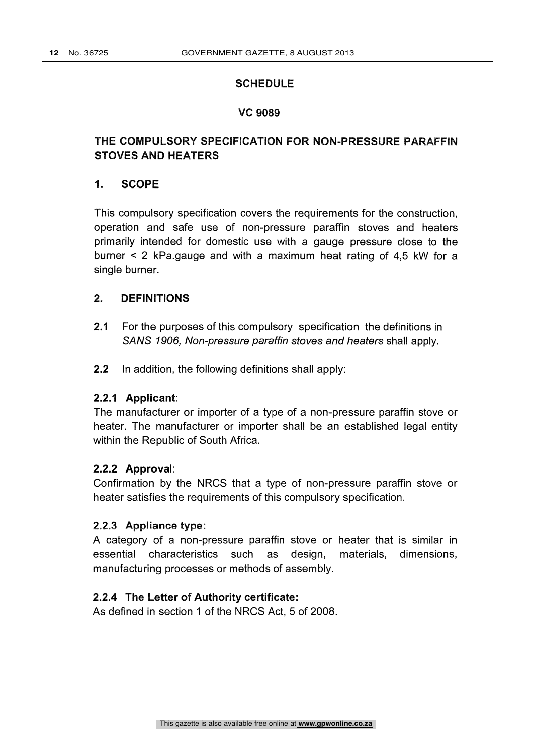### **SCHEDULE**

### VC 9089

# THE COMPULSORY SPECIFICATION FOR NON-PRESSURE PARAFFIN STOVES AND HEATERS

### 1. SCOPE

This compulsory specification covers the requirements for the construction, operation and safe use of non-pressure paraffin stoves and heaters primarily intended for domestic use with a gauge pressure close to the burner < 2 kPa.gauge and with a maximum heat rating of 4,5 kW for a single burner.

### 2. DEFINITIONS

- 2.1 For the purposes of this compulsory specification the definitions in SANS 1906, Non-pressure paraffin stoves and heaters shall apply.
- 2.2 In addition, the following definitions shall apply:

### 2.2.1 Applicant:

The manufacturer or importer of a type of a non-pressure paraffin stove or heater. The manufacturer or importer shall be an established legal entity within the Republic of South Africa.

### 2.2.2 Approval:

Confirmation by the NRCS that a type of non-pressure paraffin stove or heater satisfies the requirements of this compulsory specification.

### 2.2.3 Appliance type:

A category of a non-pressure paraffin stove or heater that is similar in essential characteristics such as design, materials, dimensions, manufacturing processes or methods of assembly.

### 2.2.4 The Letter of Authority certificate:

As defined in section 1 of the NRCS Act, 5 of 2008.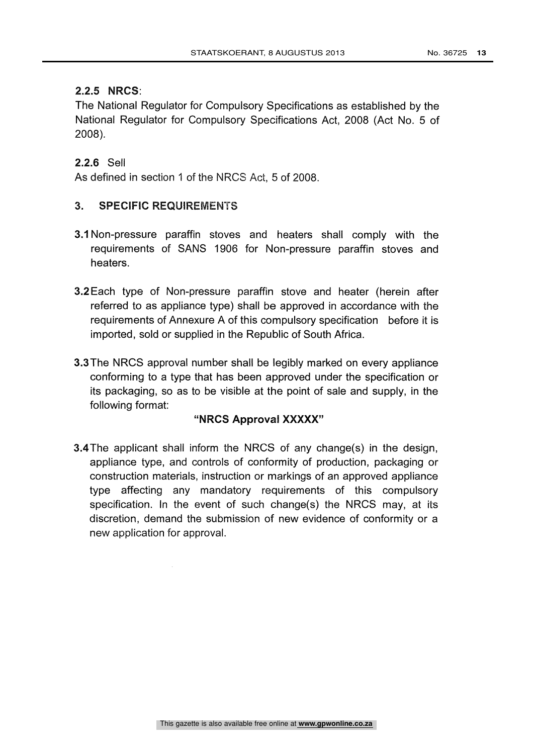# 2.2.5 NRCS:

The National Regulator for Compulsory Specifications as established by the National Regulator for Compulsory Specifications Act, 2008 (Act No. 5 of 2008).

# 2.2.6 Sell

As defined in section 1 of the NRCS Act, 5 of 2008.

# 3. SPECIFIC REQUIREMENTS

- 3.1 Non-pressure paraffin stoves and heaters shall comply with the requirements of SANS 1906 for Non-pressure paraffin stoves and heaters.
- 3.2 Each type of Non-pressure paraffin stove and heater (herein after referred to as appliance type) shall be approved in accordance with the requirements of Annexure A of this compulsory specification before it is imported, sold or supplied in the Republic of South Africa.
- 3.3The NRCS approval number shall be legibly marked on every appliance conforming to a type that has been approved under the specification or its packaging, so as to be visible at the point of sale and supply, in the following format:

# "NRCS Approval XXXXX"

3.4 The applicant shall inform the NRCS of any change(s) in the design, appliance type, and controls of conformity of production, packaging or construction materials, instruction or markings of an approved appliance type affecting any mandatory requirements of this compulsory specification. In the event of such change(s) the NRCS may, at its discretion, demand the submission of new evidence of conformity or a new application for approval.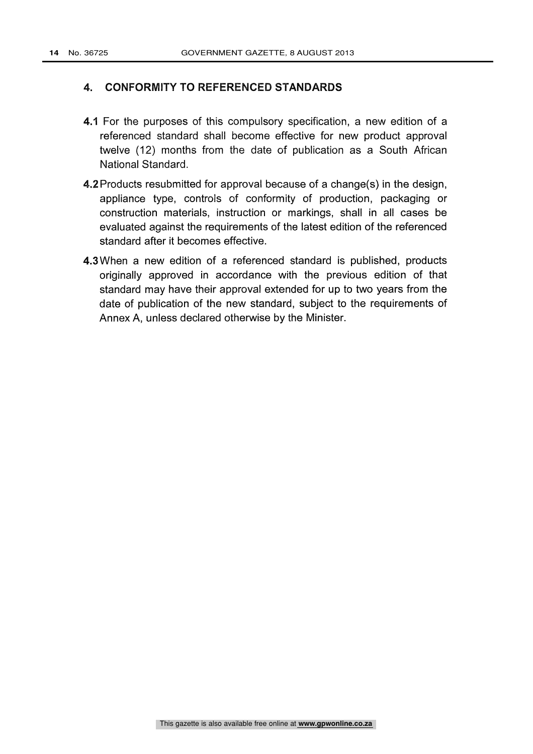### 4. CONFORMITY TO REFERENCED STANDARDS

- 4.1 For the purposes of this compulsory specification, a new edition of a referenced standard shall become effective for new product approval twelve (12) months from the date of publication as a South African National Standard.
- 4.2 Products resubmitted for approval because of a change(s) in the design, appliance type, controls of conformity of production, packaging or construction materials, instruction or markings, shall in all cases be evaluated against the requirements of the latest edition of the referenced standard after it becomes effective.
- 4.3 When a new edition of a referenced standard is published, products originally approved in accordance with the previous edition of that standard may have their approval extended for up to two years from the date of publication of the new standard, subject to the requirements of Annex A, unless declared otherwise by the Minister.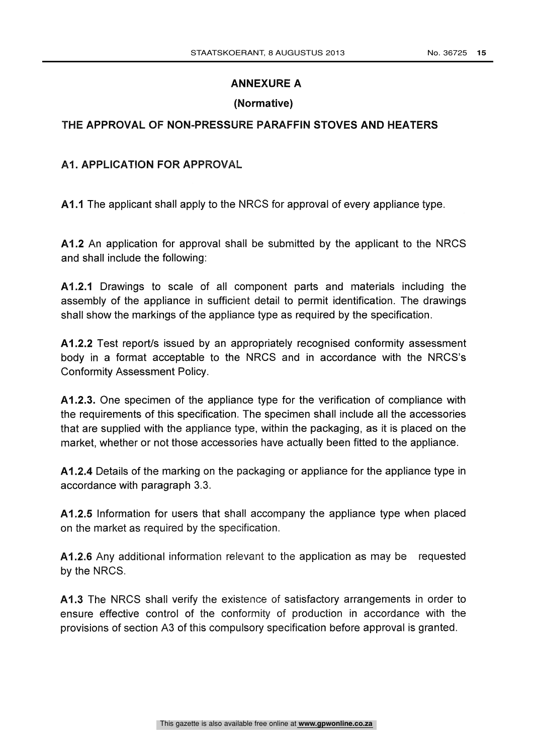# ANNEXURE A

# (Normative)

# THE APPROVAL OF NON-PRESSURE PARAFFIN STOVES AND HEATERS

### Al. APPLICATION FOR APPROVAL

A1.1 The applicant shall apply to the NRCS for approval of every appliance type.

A1.2 An application for approval shall be submitted by the applicant to the NRCS and shall include the following:

A1.2.1 Drawings to scale of all component parts and materials including the assembly of the appliance in sufficient detail to permit identification. The drawings shall show the markings of the appliance type as required by the specification.

A1.2.2 Test report/s issued by an appropriately recognised conformity assessment body in a format acceptable to the NRCS and in accordance with the NRCS's Conformity Assessment Policy.

A1.2.3. One specimen of the appliance type for the verification of compliance with the requirements of this specification. The specimen shall include all the accessories that are supplied with the appliance type, within the packaging, as it is placed on the market, whether or not those accessories have actually been fitted to the appliance.

A1.2.4 Details of the marking on the packaging or appliance for the appliance type in accordance with paragraph 3.3.

A1.2.5 Information for users that shall accompany the appliance type when placed on the market as required by the specification.

A1.2.6 Any additional information relevant to the application as may be requested by the NRCS.

A1.3 The NRCS shall verify the existence of satisfactory arrangements in order to ensure effective control of the conformity of production in accordance with the provisions of section A3 of this compulsory specification before approval is granted.